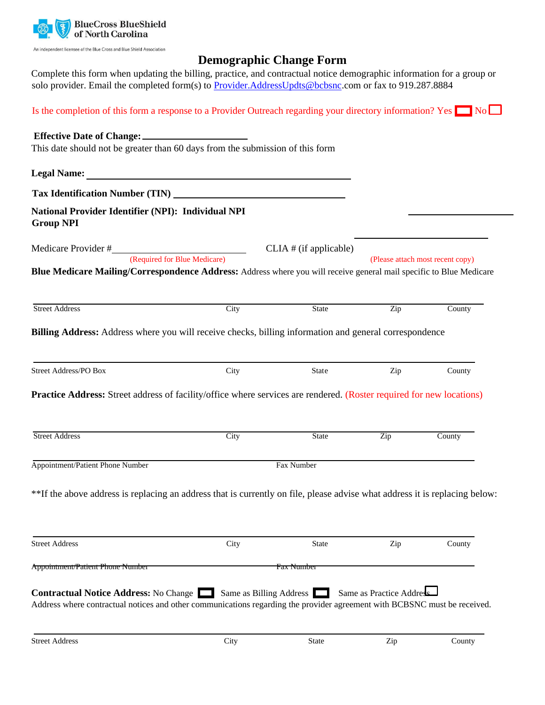

An independent licensee of the Blue Cross and Blue Shield Association

# **Demographic Change Form**

Complete this form when updating the billing, practice, and contractual notice demographic information for a group or solo provider. Email the completed form(s) to Provider.AddressUpdts@bcbsnc.com or fax to 919.287.8884

| Is the completion of this form a response to a Provider Outreach regarding your directory information? Yes $\Box$ No                                                                              |      |                          |                           |                                  |
|---------------------------------------------------------------------------------------------------------------------------------------------------------------------------------------------------|------|--------------------------|---------------------------|----------------------------------|
| This date should not be greater than 60 days from the submission of this form                                                                                                                     |      |                          |                           |                                  |
|                                                                                                                                                                                                   |      |                          |                           |                                  |
|                                                                                                                                                                                                   |      |                          |                           |                                  |
| National Provider Identifier (NPI): Individual NPI<br><b>Group NPI</b>                                                                                                                            |      |                          |                           |                                  |
|                                                                                                                                                                                                   |      | $CLIA$ # (if applicable) |                           |                                  |
| Medicare Provider #<br>(Required for Blue Medicare)                                                                                                                                               |      |                          |                           | (Please attach most recent copy) |
| <b>Street Address</b>                                                                                                                                                                             | City | <b>State</b>             | Zip                       | County                           |
|                                                                                                                                                                                                   |      |                          |                           |                                  |
| <b>Street Address/PO Box</b>                                                                                                                                                                      | City | State                    | Zip                       | County                           |
| <b>Practice Address:</b> Street address of facility/office where services are rendered. (Roster required for new locations)<br><b>Street Address</b>                                              | City | <b>State</b>             | $\overline{\mathrm{Zip}}$ | County                           |
|                                                                                                                                                                                                   |      |                          |                           |                                  |
| Appointment/Patient Phone Number                                                                                                                                                                  |      | Fax Number               |                           |                                  |
| **If the above address is replacing an address that is currently on file, please advise what address it is replacing below:                                                                       |      |                          |                           |                                  |
| <b>Street Address</b>                                                                                                                                                                             | City | <b>State</b>             | Zip                       | County                           |
| <b>Appointment/Patient Phone Number</b>                                                                                                                                                           |      | Fax Number               |                           |                                  |
| <b>Contractual Notice Address:</b> No Change Same as Billing Address<br>Address where contractual notices and other communications regarding the provider agreement with BCBSNC must be received. |      |                          | Same as Practice Address  |                                  |
| <b>Street Address</b>                                                                                                                                                                             | City | State                    | Zip                       | County                           |